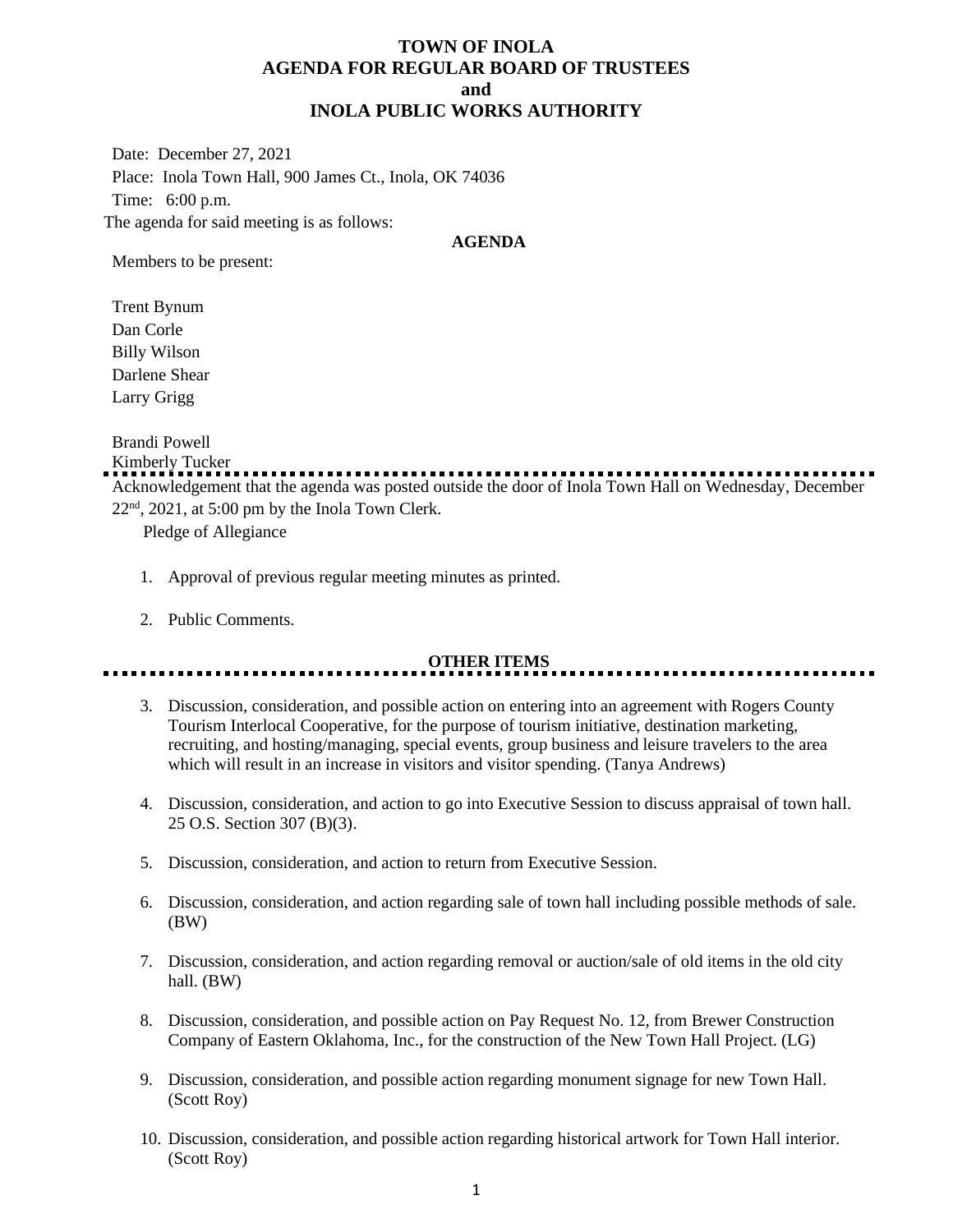# **TOWN OF INOLA AGENDA FOR REGULAR BOARD OF TRUSTEES and INOLA PUBLIC WORKS AUTHORITY**

Date: December 27, 2021 Place: Inola Town Hall, 900 James Ct., Inola, OK 74036 Time: 6:00 p.m. The agenda for said meeting is as follows:

## **AGENDA**

Members to be present:

Trent Bynum Dan Corle Billy Wilson Darlene Shear Larry Grigg

Brandi Powell

Kimberly Tucker

Acknowledgement that the agenda was posted outside the door of Inola Town Hall on Wednesday, December  $22<sup>nd</sup>$ ,  $2021$ , at 5:00 pm by the Inola Town Clerk.

Pledge of Allegiance

- 1. Approval of previous regular meeting minutes as printed.
- 2. Public Comments.

## **OTHER ITEMS**

- 3. Discussion, consideration, and possible action on entering into an agreement with Rogers County Tourism Interlocal Cooperative, for the purpose of tourism initiative, destination marketing, recruiting, and hosting/managing, special events, group business and leisure travelers to the area which will result in an increase in visitors and visitor spending. (Tanya Andrews)
- 4. Discussion, consideration, and action to go into Executive Session to discuss appraisal of town hall. 25 O.S. Section 307 (B)(3).
- 5. Discussion, consideration, and action to return from Executive Session.
- 6. Discussion, consideration, and action regarding sale of town hall including possible methods of sale. (BW)
- 7. Discussion, consideration, and action regarding removal or auction/sale of old items in the old city hall. (BW)
- 8. Discussion, consideration, and possible action on Pay Request No. 12, from Brewer Construction Company of Eastern Oklahoma, Inc., for the construction of the New Town Hall Project. (LG)
- 9. Discussion, consideration, and possible action regarding monument signage for new Town Hall. (Scott Roy)
- 10. Discussion, consideration, and possible action regarding historical artwork for Town Hall interior. (Scott Roy)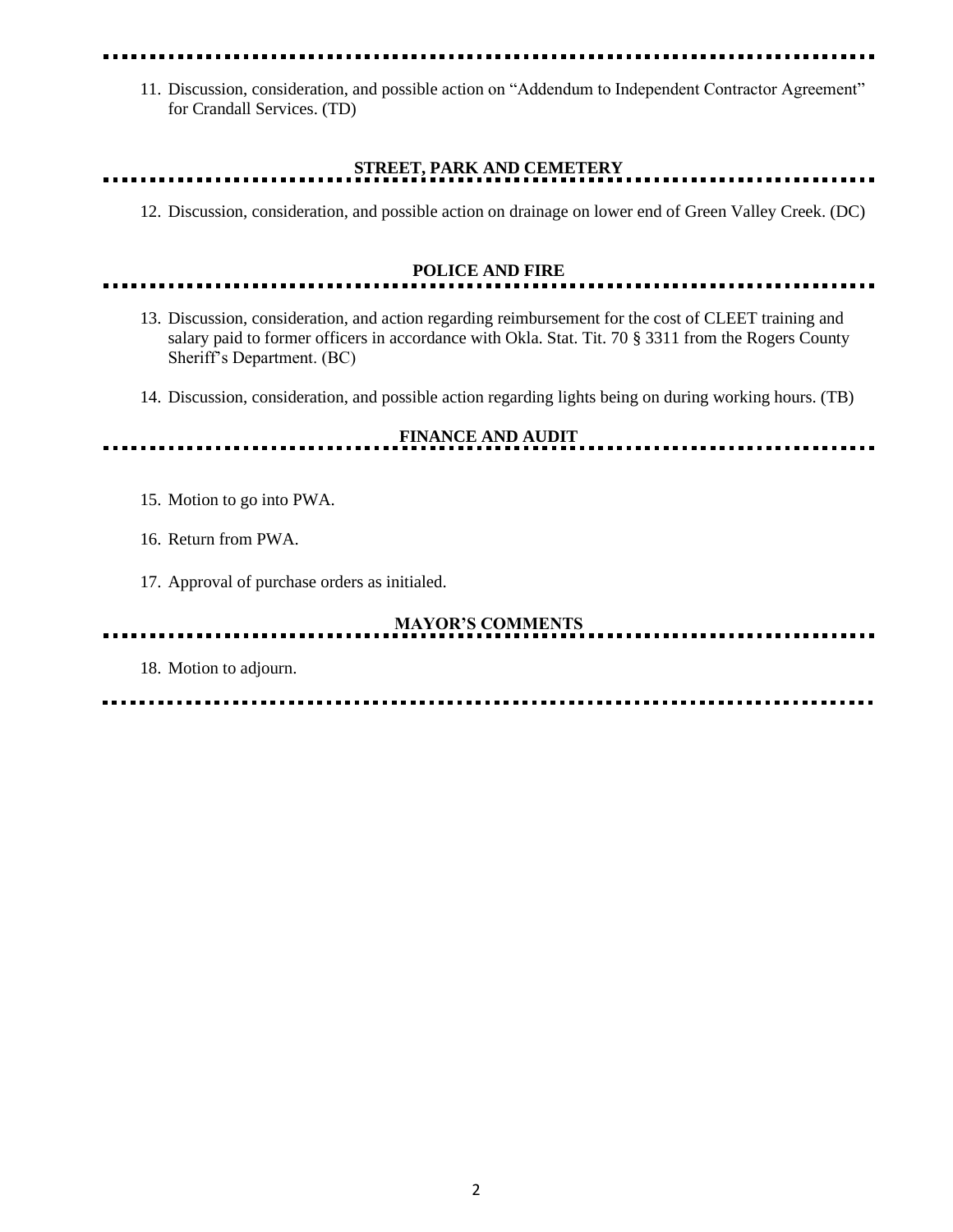11. Discussion, consideration, and possible action on "Addendum to Independent Contractor Agreement" for Crandall Services. (TD)

# **STREET, PARK AND CEMETERY**

12. Discussion, consideration, and possible action on drainage on lower end of Green Valley Creek. (DC)

.....................

## **POLICE AND FIRE**

- 13. Discussion, consideration, and action regarding reimbursement for the cost of CLEET training and salary paid to former officers in accordance with Okla. Stat. Tit. 70 § 3311 from the Rogers County Sheriff's Department. (BC)
- 14. Discussion, consideration, and possible action regarding lights being on during working hours. (TB)

**FINANCE AND AUDIT**

15. Motion to go into PWA.

. . . . . . . . . . . .

- 16. Return from PWA.
- 17. Approval of purchase orders as initialed.

# **MAYOR'S COMMENTS**

18. Motion to adjourn.